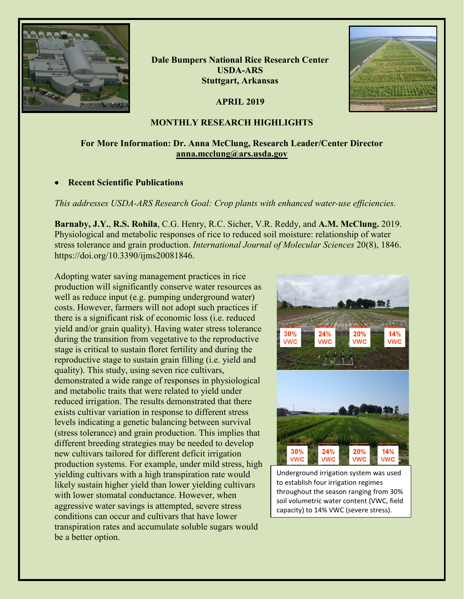

**Dale Bumpers National Rice Research Center USDA-ARS Stuttgart, Arkansas**

**APRIL 2019**



## **MONTHLY RESEARCH HIGHLIGHTS**

# **For More Information: Dr. Anna McClung, Research Leader/Center Director [anna.mcclung@ars.usda.gov](mailto:anna.mcclung@ars.usda.gov)**

## • **Recent Scientific Publications**

*This addresses USDA-ARS Research Goal: Crop plants with enhanced water-use efficiencies.*

**Barnaby, J.Y.**, **R.S. Rohila**, C.G. Henry, R.C. Sicher, V.R. Reddy, and **A.M. McClung.** 2019. Physiological and metabolic responses of rice to reduced soil moisture: relationship of water stress tolerance and grain production. *International Journal of Molecular Sciences* 20(8), 1846. https://doi.org/10.3390/ijms20081846.

Adopting water saving management practices in rice production will significantly conserve water resources as well as reduce input (e.g. pumping underground water) costs. However, farmers will not adopt such practices if there is a significant risk of economic loss (i.e. reduced yield and/or grain quality). Having water stress tolerance during the transition from vegetative to the reproductive stage is critical to sustain floret fertility and during the reproductive stage to sustain grain filling (i.e. yield and quality). This study, using seven rice cultivars, demonstrated a wide range of responses in physiological and metabolic traits that were related to yield under reduced irrigation. The results demonstrated that there exists cultivar variation in response to different stress levels indicating a genetic balancing between survival (stress tolerance) and grain production. This implies that different breeding strategies may be needed to develop new cultivars tailored for different deficit irrigation production systems. For example, under mild stress, high yielding cultivars with a high transpiration rate would likely sustain higher yield than lower yielding cultivars with lower stomatal conductance. However, when aggressive water savings is attempted, severe stress conditions can occur and cultivars that have lower transpiration rates and accumulate soluble sugars would be a better option.



Underground irrigation system was used to establish four irrigation regimes throughout the season ranging from 30% soil volumetric water content (VWC, field capacity) to 14% VWC (severe stress).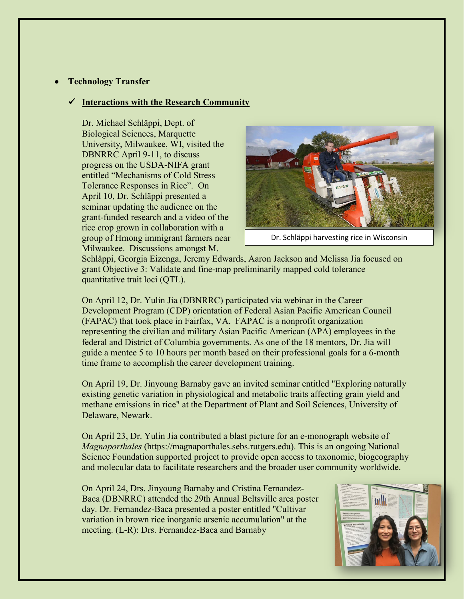## • **Technology Transfer**

#### **Interactions with the Research Community**

Dr. Michael Schläppi, Dept. of Biological Sciences, Marquette University, Milwaukee, WI, visited the DBNRRC April 9-11, to discuss progress on the USDA-NIFA grant entitled "Mechanisms of Cold Stress Tolerance Responses in Rice". On April 10, Dr. Schläppi presented a seminar updating the audience on the grant-funded research and a video of the rice crop grown in collaboration with a group of Hmong immigrant farmers near Milwaukee. Discussions amongst M.



Dr. Schläppi harvesting rice in Wisconsin

Schläppi, Georgia Eizenga, Jeremy Edwards, Aaron Jackson and Melissa Jia focused on grant Objective 3: Validate and fine-map preliminarily mapped cold tolerance quantitative trait loci (QTL).

On April 12, Dr. Yulin Jia (DBNRRC) participated via webinar in the Career Development Program (CDP) orientation of Federal Asian Pacific American Council (FAPAC) that took place in Fairfax, VA. FAPAC is a nonprofit organization representing the civilian and military Asian Pacific American (APA) employees in the federal and District of Columbia governments. As one of the 18 mentors, Dr. Jia will guide a mentee 5 to 10 hours per month based on their professional goals for a 6-month time frame to accomplish the career development training.

On April 19, Dr. Jinyoung Barnaby gave an invited seminar entitled "Exploring naturally existing genetic variation in physiological and metabolic traits affecting grain yield and methane emissions in rice" at the Department of Plant and Soil Sciences, University of Delaware, Newark.

On April 23, Dr. Yulin Jia contributed a blast picture for an e-monograph website of *Magnaporthales* (https://magnaporthales.sebs.rutgers.edu). This is an ongoing National Science Foundation supported project to provide open access to taxonomic, biogeography and molecular data to facilitate researchers and the broader user community worldwide.

On April 24, Drs. Jinyoung Barnaby and Cristina Fernandez-Baca (DBNRRC) attended the 29th Annual Beltsville area poster day. Dr. Fernandez-Baca presented a poster entitled "Cultivar variation in brown rice inorganic arsenic accumulation" at the meeting. (L-R): Drs. Fernandez-Baca and Barnaby

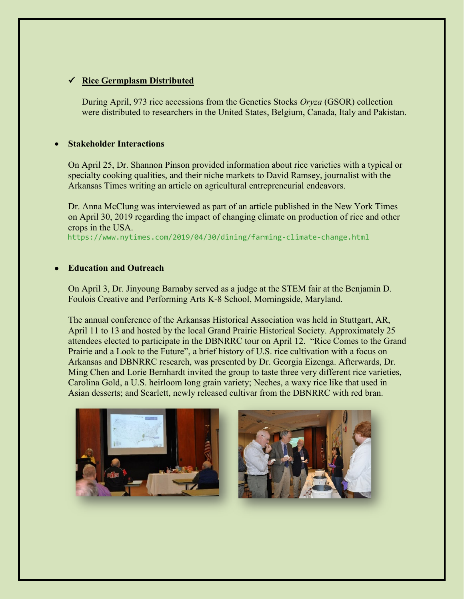# **Rice Germplasm Distributed**

During April, 973 rice accessions from the Genetics Stocks *Oryza* (GSOR) collection were distributed to researchers in the United States, Belgium, Canada, Italy and Pakistan.

## • **Stakeholder Interactions**

On April 25, Dr. Shannon Pinson provided information about rice varieties with a typical or specialty cooking qualities, and their niche markets to David Ramsey, journalist with the Arkansas Times writing an article on agricultural entrepreneurial endeavors.

Dr. Anna McClung was interviewed as part of an article published in the New York Times on April 30, 2019 regarding the impact of changing climate on production of rice and other crops in the USA. <https://www.nytimes.com/2019/04/30/dining/farming-climate-change.html>

## • **Education and Outreach**

On April 3, Dr. Jinyoung Barnaby served as a judge at the STEM fair at the Benjamin D. Foulois Creative and Performing Arts K-8 School, Morningside, Maryland.

The annual conference of the Arkansas Historical Association was held in Stuttgart, AR, April 11 to 13 and hosted by the local Grand Prairie Historical Society. Approximately 25 attendees elected to participate in the DBNRRC tour on April 12. "Rice Comes to the Grand Prairie and a Look to the Future", a brief history of U.S. rice cultivation with a focus on Arkansas and DBNRRC research, was presented by Dr. Georgia Eizenga. Afterwards, Dr. Ming Chen and Lorie Bernhardt invited the group to taste three very different rice varieties, Carolina Gold, a U.S. heirloom long grain variety; Neches, a waxy rice like that used in Asian desserts; and Scarlett, newly released cultivar from the DBNRRC with red bran.